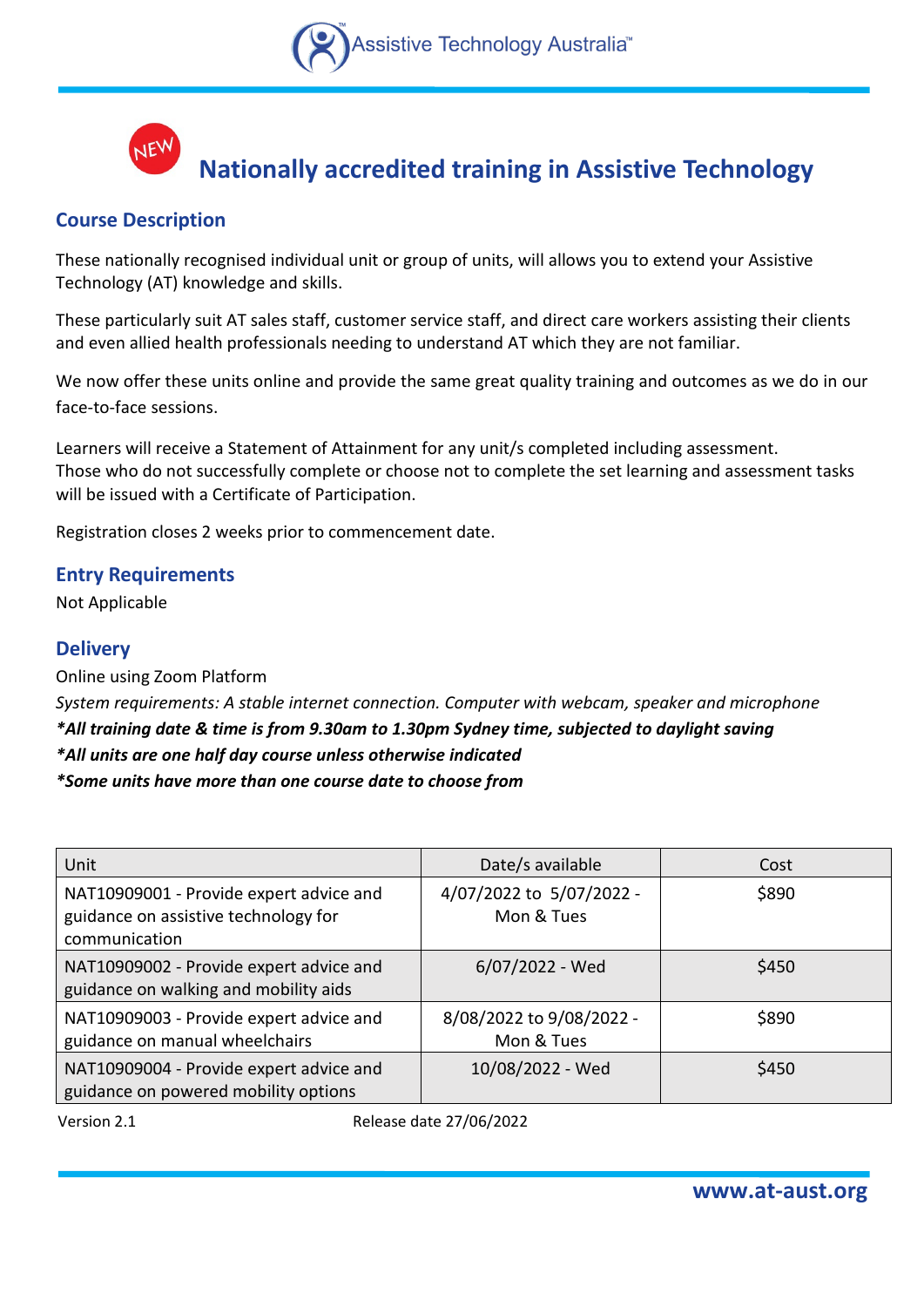



# **Nationally accredited training in Assistive Technology**

# **Course Description**

These nationally recognised individual unit or group of units, will allows you to extend your Assistive Technology (AT) knowledge and skills.

These particularly suit AT sales staff, customer service staff, and direct care workers assisting their clients and even allied health professionals needing to understand AT which they are not familiar.

We now offer these units online and provide the same great quality training and outcomes as we do in our face-to-face sessions.

Learners will receive a Statement of Attainment for any unit/s completed including assessment. Those who do not successfully complete or choose not to complete the set learning and assessment tasks will be issued with a Certificate of Participation.

Registration closes 2 weeks prior to commencement date.

### **Entry Requirements**

Not Applicable

## **Delivery**

Online using Zoom Platform *System requirements: A stable internet connection. Computer with webcam, speaker and microphone \*All training date & time is from 9.30am to 1.30pm Sydney time, subjected to daylight saving \*All units are one half day course unless otherwise indicated \*Some units have more than one course date to choose from*

| Unit                                                                                             | Date/s available                       | Cost  |
|--------------------------------------------------------------------------------------------------|----------------------------------------|-------|
| NAT10909001 - Provide expert advice and<br>guidance on assistive technology for<br>communication | 4/07/2022 to 5/07/2022 -<br>Mon & Tues | \$890 |
| NAT10909002 - Provide expert advice and<br>guidance on walking and mobility aids                 | 6/07/2022 - Wed                        | \$450 |
| NAT10909003 - Provide expert advice and<br>guidance on manual wheelchairs                        | 8/08/2022 to 9/08/2022 -<br>Mon & Tues | \$890 |
| NAT10909004 - Provide expert advice and<br>guidance on powered mobility options                  | 10/08/2022 - Wed                       | \$450 |

Version 2.1 **All Accords** Release date 27/06/2022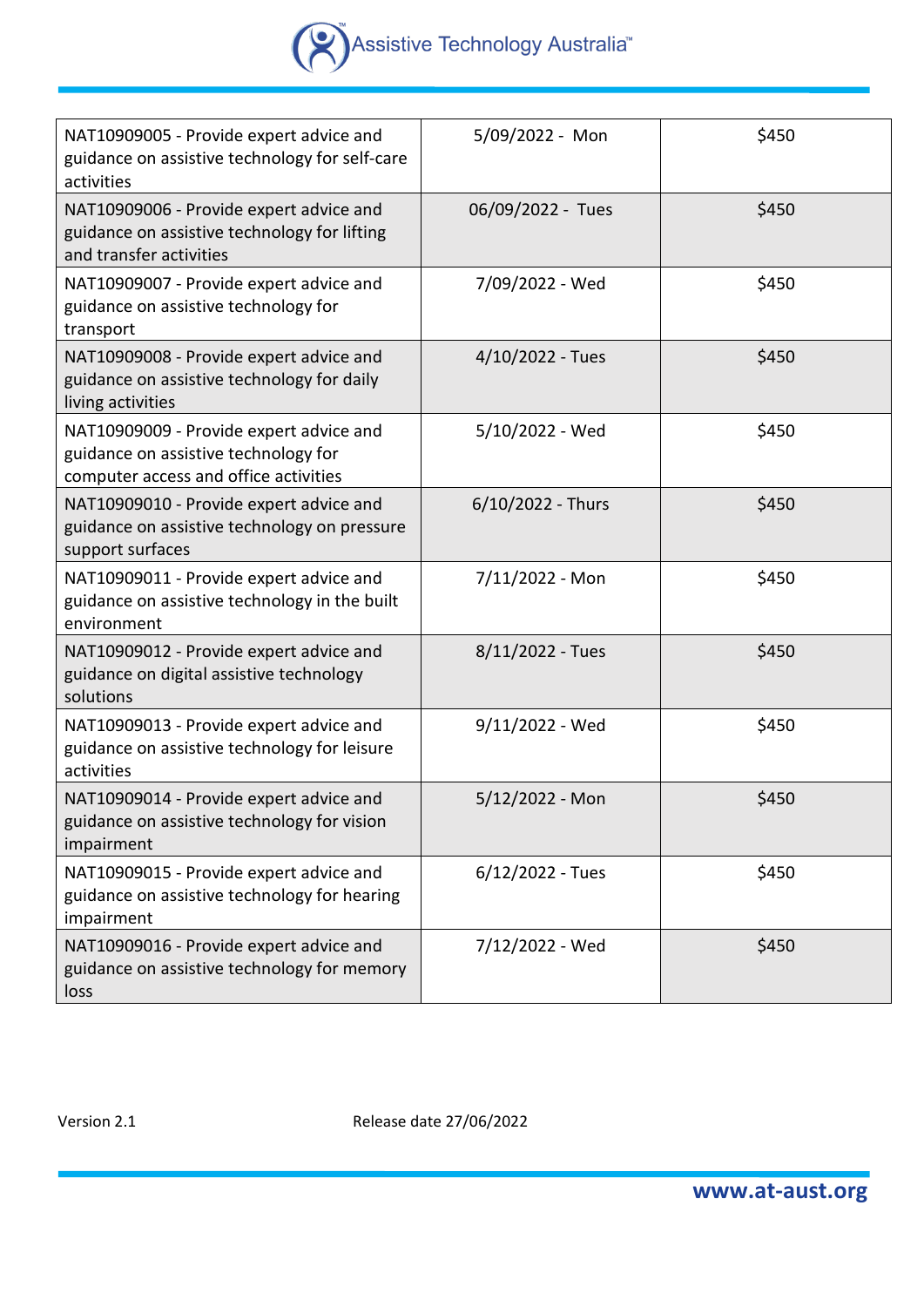# Assistive Technology Australia

| NAT10909005 - Provide expert advice and<br>guidance on assistive technology for self-care<br>activities                  | 5/09/2022 - Mon    | \$450 |
|--------------------------------------------------------------------------------------------------------------------------|--------------------|-------|
| NAT10909006 - Provide expert advice and<br>guidance on assistive technology for lifting<br>and transfer activities       | 06/09/2022 - Tues  | \$450 |
| NAT10909007 - Provide expert advice and<br>guidance on assistive technology for<br>transport                             | 7/09/2022 - Wed    | \$450 |
| NAT10909008 - Provide expert advice and<br>guidance on assistive technology for daily<br>living activities               | $4/10/2022$ - Tues | \$450 |
| NAT10909009 - Provide expert advice and<br>guidance on assistive technology for<br>computer access and office activities | 5/10/2022 - Wed    | \$450 |
| NAT10909010 - Provide expert advice and<br>guidance on assistive technology on pressure<br>support surfaces              | 6/10/2022 - Thurs  | \$450 |
| NAT10909011 - Provide expert advice and<br>guidance on assistive technology in the built<br>environment                  | 7/11/2022 - Mon    | \$450 |
| NAT10909012 - Provide expert advice and<br>guidance on digital assistive technology<br>solutions                         | $8/11/2022$ - Tues | \$450 |
| NAT10909013 - Provide expert advice and<br>guidance on assistive technology for leisure<br>activities                    | 9/11/2022 - Wed    | \$450 |
| NAT10909014 - Provide expert advice and<br>guidance on assistive technology for vision<br>impairment                     | 5/12/2022 - Mon    | \$450 |
| NAT10909015 - Provide expert advice and<br>guidance on assistive technology for hearing<br>impairment                    | $6/12/2022$ - Tues | \$450 |
| NAT10909016 - Provide expert advice and<br>guidance on assistive technology for memory<br>loss                           | 7/12/2022 - Wed    | \$450 |

Version 2.1 **Version 2.1** Release date 27/06/2022